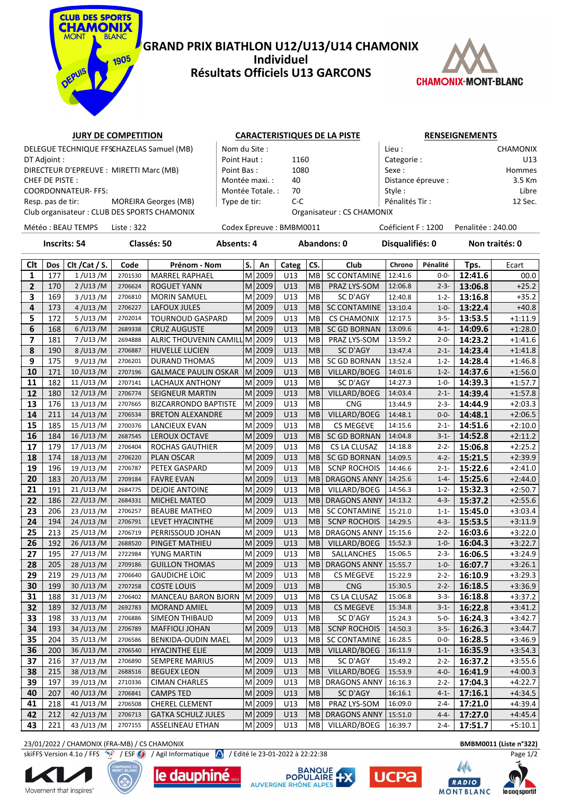

### **GRAND PRIX BIATHLON U12/U13/U14 CHAMONIX Individuel Résultats Officiels U13 GARCONS**



## **JURY DE COMPETITION CARACTERISTIQUES DE LA PISTE RENSEIGNEMENTS**

|                                         | DELEGUE TECHNIQUE FFSCHAZELAS Samuel (MB)   | Nom du Site :    |                           | Lieu :             | <b>CHAMONIX</b> |
|-----------------------------------------|---------------------------------------------|------------------|---------------------------|--------------------|-----------------|
| DT Adjoint :                            |                                             | Point Haut:      | 1160                      | Categorie:         | U13             |
| DIRECTEUR D'EPREUVE : MIRETTI Marc (MB) |                                             | Point Bas:       | 1080                      | Sexe :             | Hommes          |
| CHEF DE PISTE :                         |                                             | Montée maxi. :   | 40                        | Distance épreuve : | 3.5 Km          |
| COORDONNATEUR- FFS:                     |                                             | Montée Totale. : | 70                        | Style:             | Libre           |
| Resp. pas de tir:                       | MOREIRA Georges (MB)                        | Type de tir:     | C-C                       | Pénalités Tir :    | 12 Sec.         |
|                                         | Club organisateur: CLUB DES SPORTS CHAMONIX |                  | Organisateur: CS CHAMONIX |                    |                 |

Club organisateur : CLUB DES SPORTS CHAMONIX **CHAMONIX** Organisateur :

Météo : BEAU TEMPS Liste : 322 Codex Epreuve : BMBM0011 Coéficient F : 1200 Penalitée : 240.00

**Inscrits: 54 Classés: 50 Absents: 4 Abandons: 0 Disqualifiés: 0 Non traités: 0**

| Clt             | Dos | Clt / Cat / S. | Code    | Prénom - Nom                  | S. | An        | Categ | CS.       | Club                | Chrono  | Pénalité  | Tps.    | Ecart     |
|-----------------|-----|----------------|---------|-------------------------------|----|-----------|-------|-----------|---------------------|---------|-----------|---------|-----------|
| 1               | 177 | $1$ /U13/M     | 2701530 | <b>MARREL RAPHAEL</b>         | M  | 2009      | U13   | MВ        | <b>SC CONTAMINE</b> | 12:41.6 | $0 - 0 -$ | 12:41.6 | 00.0      |
| $\mathbf{2}$    | 170 | 2 / U13 / M    | 2706624 | <b>ROGUET YANN</b>            |    | $M$  2009 | U13   | <b>MB</b> | PRAZ LYS-SOM        | 12:06.8 | $2 - 3 -$ | 13:06.8 | $+25.2$   |
| 3               | 169 | 3 / U13 / M    | 2706810 | <b>MORIN SAMUEL</b>           |    | M 2009    | U13   | <b>MB</b> | SC D'AGY            | 12:40.8 | $1 - 2 -$ | 13:16.8 | $+35.2$   |
| 4               | 173 | 4/U13/M        | 2706227 | LAFOUX JULES                  |    | M 2009    | U13   | <b>MB</b> | <b>SC CONTAMINE</b> | 13:10.4 | $1 - 0 -$ | 13:22.4 | $+40.8$   |
| 5               | 172 | 5/U13/M        | 2702014 | <b>TOURNOUD GASPARD</b>       |    | $M$  2009 | U13   | MB        | <b>CS CHAMONIX</b>  | 12:17.5 | $3 - 5 -$ | 13:53.5 | $+1:11.9$ |
| 6               | 168 | 6/U13/M        | 2689338 | <b>CRUZ AUGUSTE</b>           |    | $M$  2009 | U13   | MB        | <b>SC GD BORNAN</b> | 13:09.6 | $4 - 1 -$ | 14:09.6 | $+1:28.0$ |
| 7               | 181 | 7/U13/M        | 2694888 | ALRIC THOUVENIN CAMILL M 2009 |    |           | U13   | MB        | PRAZ LYS-SOM        | 13:59.2 | $2 - 0 -$ | 14:23.2 | $+1:41.6$ |
| 8               | 190 | 8/U13/M        | 2706887 | <b>HUVELLE LUCIEN</b>         |    | $M$  2009 | U13   | <b>MB</b> | SC D'AGY            | 13:47.4 | $2 - 1 -$ | 14:23.4 | $+1:41.8$ |
| 9               | 175 | 9/U13/M        | 2706201 | DURAND THOMAS                 |    | $M$  2009 | U13   | MВ        | SC GD BORNAN        | 13:52.4 | $1 - 2 -$ | 14:28.4 | $+1:46.8$ |
| 10              | 171 | 10 / U13 / M   | 2707196 | <b>GALMACE PAULIN OSKAR</b>   |    | M 2009    | U13   | <b>MB</b> | VILLARD/BOEG        | 14:01.6 | $1 - 2 -$ | 14:37.6 | $+1:56.0$ |
| 11              | 182 | 11/U13/M       | 2707141 | LACHAUX ANTHONY               |    | $M$  2009 | U13   | <b>MB</b> | SC D'AGY            | 14:27.3 | $1 - 0 -$ | 14:39.3 | $+1:57.7$ |
| 12              | 180 | 12 / U13 / M   | 2706774 | SEIGNEUR MARTIN               |    | $M$  2009 | U13   | MB        | VILLARD/BOEG        | 14:03.4 | $2 - 1 -$ | 14:39.4 | $+1:57.8$ |
| 13              | 176 | 13/U13/M       | 2707665 | <b>BIZCARRONDO BAPTISTE</b>   |    | M 2009    | U13   | <b>MB</b> | <b>CNG</b>          | 13:44.9 | $2 - 3 -$ | 14:44.9 | $+2:03.3$ |
| 14              | 211 | 14/U13/M       | 2706534 | <b>BRETON ALEXANDRE</b>       |    | $M$  2009 | U13   | <b>MB</b> | VILLARD/BOEG        | 14:48.1 | $0 - 0 -$ | 14:48.1 | $+2:06.5$ |
| 15              | 185 | 15/U13/M       | 2700376 | LANCIEUX EVAN                 |    | M 2009    | U13   | MВ        | <b>CS MEGEVE</b>    | 14:15.6 | $2 - 1 -$ | 14:51.6 | $+2:10.0$ |
| $\overline{16}$ | 184 | 16 / U13 / M   | 2687545 | <b>LEROUX OCTAVE</b>          |    | $M$  2009 | U13   | <b>MB</b> | <b>SC GD BORNAN</b> | 14:04.8 | $3 - 1 -$ | 14:52.8 | $+2:11.2$ |
| 17              | 179 | 17/U13/M       | 2706404 | ROCHAS GAUTHIER               |    | M 2009    | U13   | <b>MB</b> | CS LA CLUSAZ        | 14:18.8 | $2 - 2 -$ | 15:06.8 | $+2:25.2$ |
| 18              | 174 | 18/U13/M       | 2706220 | <b>PLAN OSCAR</b>             | M  | 2009      | U13   | <b>MB</b> | <b>SC GD BORNAN</b> | 14:09.5 | $4 - 2 -$ | 15:21.5 | $+2:39.9$ |
| 19              | 196 | 19/U13/M       | 2706787 | PETEX GASPARD                 |    | $M$  2009 | U13   | MВ        | <b>SCNP ROCHOIS</b> | 14:46.6 | $2 - 1 -$ | 15:22.6 | $+2:41.0$ |
| 20              | 183 | 20/U13/M       | 2709184 | <b>FAVRE EVAN</b>             |    | $M$  2009 | U13   | <b>MB</b> | <b>DRAGONS ANNY</b> | 14:25.6 | $1 - 4 -$ | 15:25.6 | $+2:44.0$ |
| 21              | 191 | 21/U13/M       | 2684775 | <b>DEJOIE ANTOINE</b>         |    | $M$  2009 | U13   | <b>MB</b> | VILLARD/BOEG        | 14:56.3 | $1 - 2 -$ | 15:32.3 | $+2:50.7$ |
| 22              | 186 | 22/U13/M       | 2684331 | <b>MICHEL MATEO</b>           |    | $M$  2009 | U13   | <b>MB</b> | DRAGONS ANNY        | 14:13.2 | $4 - 3 -$ | 15:37.2 | $+2:55.6$ |
| 23              | 206 | 23/U13/M       | 2706257 | <b>BEAUBE MATHEO</b>          |    | M 2009    | U13   | MB        | <b>SC CONTAMINE</b> | 15:21.0 | $1 - 1 -$ | 15:45.0 | $+3:03.4$ |
| 24              | 194 | 24/U13/M       | 2706791 | LEVET HYACINTHE               |    | $M$  2009 | U13   | <b>MB</b> | <b>SCNP ROCHOIS</b> | 14:29.5 | $4 - 3 -$ | 15:53.5 | $+3:11.9$ |
| 25              | 213 | 25/U13/M       | 2706719 | PERRISSOUD JOHAN              |    | $M$  2009 | U13   | MB        | <b>DRAGONS ANNY</b> | 15:15.6 | $2 - 2 -$ | 16:03.6 | $+3:22.0$ |
| 26              | 192 | 26/U13/M       | 2688520 | PINGET MATHIEU                |    | $M$  2009 | U13   | <b>MB</b> | VILLARD/BOEG        | 15:52.3 | $1 - 0 -$ | 16:04.3 | $+3:22.7$ |
| 27              | 195 | 27/U13/M       | 2722984 | YUNG MARTIN                   |    | M 2009    | U13   | <b>MB</b> | SALLANCHES          | 15:06.5 | $2 - 3 -$ | 16:06.5 | $+3:24.9$ |
| 28              | 205 | 28/U13/M       | 2709186 | <b>GUILLON THOMAS</b>         |    | $M$  2009 | U13   | <b>MB</b> | <b>DRAGONS ANNY</b> | 15:55.7 | $1 - 0 -$ | 16:07.7 | $+3:26.1$ |
| 29              | 219 | 29/U13/M       | 2706640 | <b>GAUDICHE LOIC</b>          |    | $M$  2009 | U13   | <b>MB</b> | <b>CS MEGEVE</b>    | 15:22.9 | $2 - 2 -$ | 16:10.9 | $+3:29.3$ |
| 30              | 199 | 30/U13/M       | 2707258 | <b>COSTE LOUIS</b>            |    | $M$  2009 | U13   | <b>MB</b> | <b>CNG</b>          | 15:30.5 | $2 - 2 -$ | 16:18.5 | $+3:36.9$ |
| 31              | 188 | 31/U13/M       | 2706402 | MANCEAU BARON BJORN           |    | $M$  2009 | U13   | <b>MB</b> | CS LA CLUSAZ        | 15:06.8 | $3 - 3 -$ | 16:18.8 | $+3:37.2$ |
| 32              | 189 | 32/U13/M       | 2692783 | <b>MORAND AMIEL</b>           |    | M 2009    | U13   | <b>MB</b> | <b>CS MEGEVE</b>    | 15:34.8 | $3 - 1 -$ | 16:22.8 | $+3:41.2$ |
| 33              | 198 | 33/U13/M       | 2706886 | SIMEON THIBAUD                |    | M 2009    | U13   | MB        | SC D'AGY            | 15:24.3 | $5 - 0 -$ | 16:24.3 | $+3:42.7$ |
| 34              | 193 | 34/U13/M       | 2706789 | <b>MAFFIOLI JOHAN</b>         |    | $M$  2009 | U13   | <b>MB</b> | <b>SCNP ROCHOIS</b> | 14:50.3 | $3 - 5 -$ | 16:26.3 | $+3:44.7$ |
| 35              | 204 | 35/U13/M       | 2706586 | BENKIDA-OUDIN MAEL            |    | M 2009    | U13   | <b>MB</b> | <b>SC CONTAMINE</b> | 16:28.5 | $0 - 0 -$ | 16:28.5 | $+3:46.9$ |
| 36              | 200 | 36/U13/M       | 2706540 | <b>HYACINTHE ELIE</b>         |    | $M$  2009 | U13   | <b>MB</b> | VILLARD/BOEG        | 16:11.9 | $1 - 1 -$ | 16:35.9 | $+3:54.3$ |
| 37              | 216 | 37/U13/M       | 2706890 | <b>SEMPERE MARIUS</b>         |    | M 2009    | U13   | MB        | SC D'AGY            | 15:49.2 | $2 - 2 -$ | 16:37.2 | $+3:55.6$ |
| 38              | 215 | 38/U13/M       | 2688516 | <b>BEGUEX LEON</b>            |    | $M$  2009 | U13   | <b>MB</b> | VILLARD/BOEG        | 15:53.9 | $4 - 0 -$ | 16:41.9 | $+4:00.3$ |
| 39              | 197 | 39/U13/M       | 2710336 | <b>CIMAN CHARLES</b>          |    | M 2009    | U13   | MВ        | <b>DRAGONS ANNY</b> | 16:16.3 | $2 - 2 -$ | 17:04.3 | $+4:22.7$ |
| 40              | 207 | 40/U13/M       | 2706841 | <b>CAMPS TED</b>              |    | M 2009    | U13   | <b>MB</b> | SC D'AGY            | 16:16.1 | $4 - 1 -$ | 17:16.1 | $+4:34.5$ |
| 41              | 218 | 41/U13/M       | 2706508 | CHEREL CLEMENT                |    | M 2009    | U13   | MB        | PRAZ LYS-SOM        | 16:09.0 | $2 - 4 -$ | 17:21.0 | $+4:39.4$ |
| 42              | 212 | 42/U13/M       | 2706713 | <b>GATKA SCHULZ JULES</b>     |    | $M$  2009 | U13   | MB        | DRAGONS ANNY        | 15:51.0 | $4 - 4 -$ | 17:27.0 | $+4:45.4$ |
| 43              | 221 | 43/U13/M       | 2707155 | ASSELINEAU ETHAN              |    | M 2009    | U13   | MB        | VILLARD/BOEG        | 16:39.7 | $2 - 4 -$ | 17:51.7 | $+5:10.1$ |

23/01/2022 / CHAMONIX (FRA-MB) / CS CHAMONIX **BMBM0011 (Liste n°322)**

skiFFS Version 4.1o / FFS / / ESF / / Agil Informatique / / Edité le 23-01-2022 à 22:22:38 Page 1/2